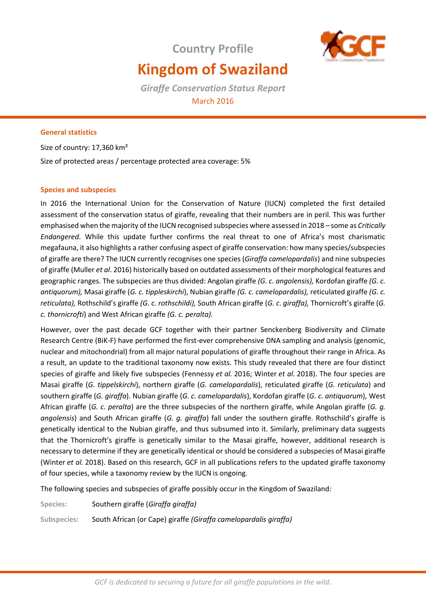# **Country Profile Kingdom of Swaziland**



*Giraffe Conservation Status Report*  March 2016

# **General statistics**

Size of country: 17,360 km² Size of protected areas / percentage protected area coverage: 5%

# **Species and subspecies**

In 2016 the International Union for the Conservation of Nature (IUCN) completed the first detailed assessment of the conservation status of giraffe, revealing that their numbers are in peril. This was further emphasised when the majority of the IUCN recognised subspecies where assessed in 2018 – some as *Critically Endangered*. While this update further confirms the real threat to one of Africa's most charismatic megafauna, it also highlights a rather confusing aspect of giraffe conservation: how many species/subspecies of giraffe are there? The IUCN currently recognises one species (*Giraffa camelopardalis*) and nine subspecies of giraffe (Muller *et al*. 2016) historically based on outdated assessments of their morphological features and geographic ranges. The subspecies are thus divided: Angolan giraffe *(G. c. angolensis),* Kordofan giraffe *(G. c. antiquorum),* Masai giraffe (*G. c. tippleskirchi*), Nubian giraffe *(G. c. camelopardalis),* reticulated giraffe *(G. c. reticulata),* Rothschild's giraffe *(G. c. rothschildi),* South African giraffe (*G. c*. *giraffa),* Thornicroft's giraffe (*G. c. thornicrofti*) and West African giraffe *(G. c. peralta).* 

However, over the past decade GCF together with their partner Senckenberg Biodiversity and Climate Research Centre (BiK-F) have performed the first-ever comprehensive DNA sampling and analysis (genomic, nuclear and mitochondrial) from all major natural populations of giraffe throughout their range in Africa. As a result, an update to the traditional taxonomy now exists. This study revealed that there are four distinct species of giraffe and likely five subspecies (Fennessy *et al.* 2016; Winter *et al.* 2018). The four species are Masai giraffe (*G. tippelskirchi*), northern giraffe (*G. camelopardalis*), reticulated giraffe (*G. reticulata*) and southern giraffe (*G. giraffa*). Nubian giraffe (*G. c. camelopardalis*), Kordofan giraffe (*G. c. antiquorum*), West African giraffe (*G. c. peralta*) are the three subspecies of the northern giraffe, while Angolan giraffe (*G. g. angolensis*) and South African giraffe (*G. g. giraffa*) fall under the southern giraffe. Rothschild's giraffe is genetically identical to the Nubian giraffe, and thus subsumed into it. Similarly, preliminary data suggests that the Thornicroft's giraffe is genetically similar to the Masai giraffe, however, additional research is necessary to determine if they are genetically identical or should be considered a subspecies of Masai giraffe (Winter *et al.* 2018). Based on this research, GCF in all publications refers to the updated giraffe taxonomy of four species, while a taxonomy review by the IUCN is ongoing.

The following species and subspecies of giraffe possibly occur in the Kingdom of Swaziland:

**Species:** Southern giraffe (*Giraffa giraffa)* **Subspecies:** South African (or Cape) giraffe *(Giraffa camelopardalis giraffa)*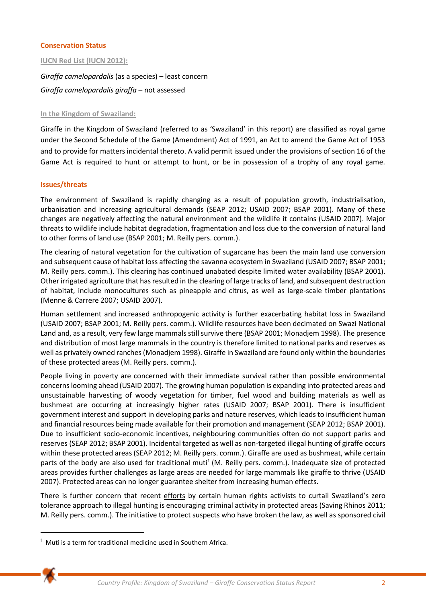## **Conservation Status**

## **IUCN Red List (IUCN 2012):**

*Giraffa camelopardalis* (as a species) – least concern *Giraffa camelopardalis giraffa* – not assessed

## **In the Kingdom of Swaziland:**

Giraffe in the Kingdom of Swaziland (referred to as 'Swaziland' in this report) are classified as royal game under the Second Schedule of the Game (Amendment) Act of 1991, an Act to amend the Game Act of 1953 and to provide for matters incidental thereto. A valid permit issued under the provisions of section 16 of the Game Act is required to hunt or attempt to hunt, or be in possession of a trophy of any royal game.

#### **Issues/threats**

The environment of Swaziland is rapidly changing as a result of population growth, industrialisation, urbanisation and increasing agricultural demands (SEAP 2012; USAID 2007; BSAP 2001). Many of these changes are negatively affecting the natural environment and the wildlife it contains (USAID 2007). Major threats to wildlife include habitat degradation, fragmentation and loss due to the conversion of natural land to other forms of land use (BSAP 2001; M. Reilly pers. comm.).

The clearing of natural vegetation for the cultivation of sugarcane has been the main land use conversion and subsequent cause of habitat loss affecting the savanna ecosystem in Swaziland (USAID 2007; BSAP 2001; M. Reilly pers. comm.). This clearing has continued unabated despite limited water availability (BSAP 2001). Other irrigated agriculture that has resulted in the clearing of large tracks of land, and subsequent destruction of habitat, include monocultures such as pineapple and citrus, as well as large-scale timber plantations (Menne & Carrere 2007; USAID 2007).

Human settlement and increased anthropogenic activity is further exacerbating habitat loss in Swaziland (USAID 2007; BSAP 2001; M. Reilly pers. comm.). Wildlife resources have been decimated on Swazi National Land and, as a result, very few large mammals still survive there (BSAP 2001; Monadjem 1998). The presence and distribution of most large mammals in the country is therefore limited to national parks and reserves as well as privately owned ranches (Monadjem 1998). Giraffe in Swaziland are found only within the boundaries of these protected areas (M. Reilly pers. comm.).

People living in poverty are concerned with their immediate survival rather than possible environmental concerns looming ahead (USAID 2007). The growing human population is expanding into protected areas and unsustainable harvesting of woody vegetation for timber, fuel wood and building materials as well as bushmeat are occurring at increasingly higher rates (USAID 2007; BSAP 2001). There is insufficient government interest and support in developing parks and nature reserves, which leads to insufficient human and financial resources being made available for their promotion and management (SEAP 2012; BSAP 2001). Due to insufficient socio-economic incentives, neighbouring communities often do not support parks and reserves (SEAP 2012; BSAP 2001). Incidental targeted as well as non-targeted illegal hunting of giraffe occurs within these protected areas (SEAP 2012; M. Reilly pers. comm.). Giraffe are used as bushmeat, while certain parts of the body are also used for traditional muti<sup>1</sup> (M. Reilly pers. comm.). Inadequate size of protected areas provides further challenges as large areas are needed for large mammals like giraffe to thrive (USAID 2007). Protected areas can no longer guarantee shelter from increasing human effects.

There is further concern that recent [efforts](http://www.biggameparks.org/newsfacts_currentnews20102.html) by certain human rights activists to curtail Swaziland's zero tolerance approach to illegal hunting is encouraging criminal activity in protected areas (Saving Rhinos 2011; M. Reilly pers. comm.). The initiative to protect suspects who have broken the law, as well as sponsored civil

 $1$  Muti is a term for traditional medicine used in Southern Africa.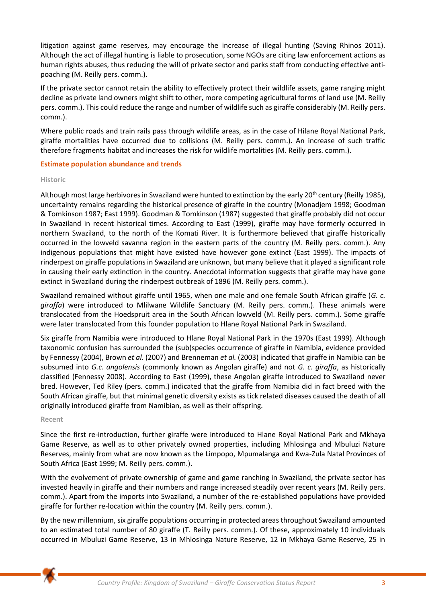litigation against game reserves, may encourage the increase of illegal hunting (Saving Rhinos 2011). Although the act of illegal hunting is liable to prosecution, some NGOs are citing law enforcement actions as human rights abuses, thus reducing the will of private sector and parks staff from conducting effective antipoaching (M. Reilly pers. comm.).

If the private sector cannot retain the ability to effectively protect their wildlife assets, game ranging might decline as private land owners might shift to other, more competing agricultural forms of land use (M. Reilly pers. comm.). This could reduce the range and number of wildlife such as giraffe considerably (M. Reilly pers. comm.).

Where public roads and train rails pass through wildlife areas, as in the case of Hilane Royal National Park, giraffe mortalities have occurred due to collisions (M. Reilly pers. comm.). An increase of such traffic therefore fragments habitat and increases the risk for wildlife mortalities (M. Reilly pers. comm.).

## **Estimate population abundance and trends**

## **Historic**

Although most large herbivores in Swaziland were hunted to extinction by the early 20<sup>th</sup> century (Reilly 1985), uncertainty remains regarding the historical presence of giraffe in the country (Monadjem 1998; Goodman & Tomkinson 1987; East 1999). Goodman & Tomkinson (1987) suggested that giraffe probably did not occur in Swaziland in recent historical times. According to East (1999), giraffe may have formerly occurred in northern Swaziland, to the north of the Komati River. It is furthermore believed that giraffe historically occurred in the lowveld savanna region in the eastern parts of the country (M. Reilly pers. comm.). Any indigenous populations that might have existed have however gone extinct (East 1999). The impacts of rinderpest on giraffe populations in Swaziland are unknown, but many believe that it played a significant role in causing their early extinction in the country. Anecdotal information suggests that giraffe may have gone extinct in Swaziland during the rinderpest outbreak of 1896 (M. Reilly pers. comm.).

Swaziland remained without giraffe until 1965, when one male and one female South African giraffe (*G. c. giraffa*) were introduced to Mlilwane Wildlife Sanctuary (M. Reilly pers. comm.). These animals were translocated from the Hoedspruit area in the South African lowveld (M. Reilly pers. comm.). Some giraffe were later translocated from this founder population to Hlane Royal National Park in Swaziland.

Six giraffe from Namibia were introduced to Hlane Royal National Park in the 1970s (East 1999). Although taxonomic confusion has surrounded the (sub)species occurrence of giraffe in Namibia, evidence provided by Fennessy (2004), Brown *et al.* (2007) and Brenneman *et al.* (2003) indicated that giraffe in Namibia can be subsumed into *G.c. angolensis* (commonly known as Angolan giraffe) and not *G. c. giraffa*, as historically classified (Fennessy 2008). According to East (1999), these Angolan giraffe introduced to Swaziland never bred. However, Ted Riley (pers. comm.) indicated that the giraffe from Namibia did in fact breed with the South African giraffe, but that minimal genetic diversity exists as tick related diseases caused the death of all originally introduced giraffe from Namibian, as well as their offspring.

#### **Recent**

Since the first re-introduction, further giraffe were introduced to Hlane Royal National Park and Mkhaya Game Reserve, as well as to other privately owned properties, including Mhlosinga and Mbuluzi Nature Reserves, mainly from what are now known as the Limpopo, Mpumalanga and Kwa-Zula Natal Provinces of South Africa (East 1999; M. Reilly pers. comm.).

With the evolvement of private ownership of game and game ranching in Swaziland, the private sector has invested heavily in giraffe and their numbers and range increased steadily over recent years (M. Reilly pers. comm.). Apart from the imports into Swaziland, a number of the re-established populations have provided giraffe for further re-location within the country (M. Reilly pers. comm.).

By the new millennium, six giraffe populations occurring in protected areas throughout Swaziland amounted to an estimated total number of 80 giraffe (T. Reilly pers. comm.). Of these, approximately 10 individuals occurred in Mbuluzi Game Reserve, 13 in Mhlosinga Nature Reserve, 12 in Mkhaya Game Reserve, 25 in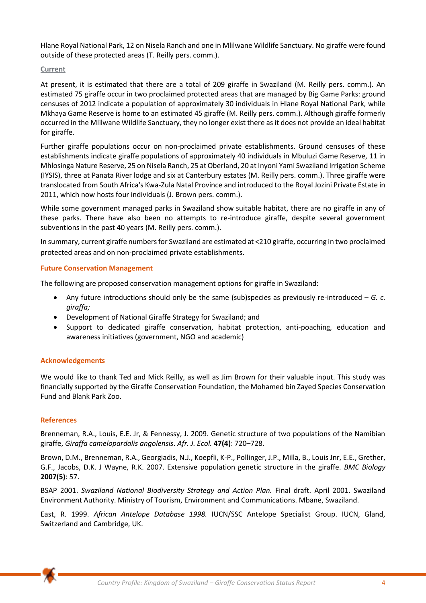Hlane Royal National Park, 12 on Nisela Ranch and one in Mlilwane Wildlife Sanctuary. No giraffe were found outside of these protected areas (T. Reilly pers. comm.).

## **Current**

At present, it is estimated that there are a total of 209 giraffe in Swaziland (M. Reilly pers. comm.). An estimated 75 giraffe occur in two proclaimed protected areas that are managed by Big Game Parks: ground censuses of 2012 indicate a population of approximately 30 individuals in Hlane Royal National Park, while Mkhaya Game Reserve is home to an estimated 45 giraffe (M. Reilly pers. comm.). Although giraffe formerly occurred in the Mlilwane Wildlife Sanctuary, they no longer exist there as it does not provide an ideal habitat for giraffe.

Further giraffe populations occur on non-proclaimed private establishments. Ground censuses of these establishments indicate giraffe populations of approximately 40 individuals in Mbuluzi Game Reserve, 11 in Mhlosinga Nature Reserve, 25 on Nisela Ranch, 25 at Oberland, 20 at Inyoni Yami Swaziland Irrigation Scheme (IYSIS), three at Panata River lodge and six at Canterbury estates (M. Reilly pers. comm.). Three giraffe were translocated from South Africa's Kwa-Zula Natal Province and introduced to the Royal Jozini Private Estate in 2011, which now hosts four individuals (J. Brown pers. comm.).

While some government managed parks in Swaziland show suitable habitat, there are no giraffe in any of these parks. There have also been no attempts to re-introduce giraffe, despite several government subventions in the past 40 years (M. Reilly pers. comm.).

In summary, current giraffe numbers for Swaziland are estimated at <210 giraffe, occurring in two proclaimed protected areas and on non-proclaimed private establishments.

# **Future Conservation Management**

The following are proposed conservation management options for giraffe in Swaziland:

- Any future introductions should only be the same (sub)species as previously re-introduced *G. c. giraffa;*
- Development of National Giraffe Strategy for Swaziland; and
- Support to dedicated giraffe conservation, habitat protection, anti-poaching, education and awareness initiatives (government, NGO and academic)

# **Acknowledgements**

We would like to thank Ted and Mick Reilly, as well as Jim Brown for their valuable input. This study was financially supported by the Giraffe Conservation Foundation, the Mohamed bin Zayed Species Conservation Fund and Blank Park Zoo.

# **References**

Brenneman, R.A., Louis, E.E. Jr, & Fennessy, J. 2009. Genetic structure of two populations of the Namibian giraffe, *Giraffa camelopardalis angolensis*. *Afr. J. Ecol.* **47(4)**: 720–728.

Brown, D.M., Brenneman, R.A., Georgiadis, N.J., Koepfli, K-P., Pollinger, J.P., Milla, B., Louis Jnr, E.E., Grether, G.F., Jacobs, D.K. J Wayne, R.K. 2007. Extensive population genetic structure in the giraffe. *BMC Biology* **2007(5)**: 57.

BSAP 2001. *Swaziland National Biodiversity Strategy and Action Plan.* Final draft. April 2001. Swaziland Environment Authority. Ministry of Tourism, Environment and Communications. Mbane, Swaziland.

East, R. 1999. *African Antelope Database 1998.* IUCN/SSC Antelope Specialist Group. IUCN, Gland, Switzerland and Cambridge, UK.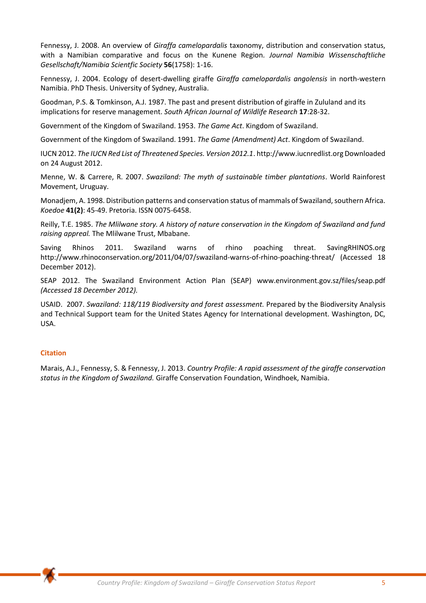Fennessy, J. 2008. An overview of *Giraffa camelopardalis* taxonomy, distribution and conservation status, with a Namibian comparative and focus on the Kunene Region*. Journal Namibia Wissenschaftliche Gesellschaft/Namibia Scientfic Society* **56**(1758): 1-16.

Fennessy, J. 2004. Ecology of desert-dwelling giraffe *Giraffa camelopardalis angolensis* in north-western Namibia. PhD Thesis. University of Sydney, Australia.

Goodman, P.S. & Tomkinson, A.J. 1987. The past and present distribution of giraffe in Zululand and its implications for reserve management. *South African Journal of Wildlife Research* **17**:28-32.

Government of the Kingdom of Swaziland. 1953. *The Game Act*. Kingdom of Swaziland.

Government of the Kingdom of Swaziland. 1991. *The Game (Amendment) Act*. Kingdom of Swaziland.

IUCN 2012. *The IUCN Red List of Threatened Species. Version 2012.1*. http://www.iucnredlist.org Downloaded on 24 August 2012.

Menne, W. & Carrere, R. 2007. *Swaziland: The myth of sustainable timber plantations*. World Rainforest Movement, Uruguay.

Monadjem, A. 1998. Distribution patterns and conservation status of mammals of Swaziland, southern Africa. *Koedoe* **41(2)**: 45-49. Pretoria. ISSN 0075-6458.

Reilly, T.E. 1985. *The Mlilwane story. A history of nature conservation in the Kingdom of Swaziland and fund raising appreal.* The Mlilwane Trust, Mbabane.

Saving Rhinos 2011. Swaziland warns of rhino poaching threat. SavingRHINOS.org http://www.rhinoconservation.org/2011/04/07/swaziland-warns-of-rhino-poaching-threat/ (Accessed 18 December 2012).

SEAP 2012. The Swaziland Environment Action Plan (SEAP) www.environment.gov.sz/files/seap.pdf *(Accessed 18 December 2012).* 

USAID. 2007. *Swaziland: 118/119 Biodiversity and forest assessment.* Prepared by the Biodiversity Analysis and Technical Support team for the United States Agency for International development. Washington, DC, USA.

#### **Citation**

Marais, A.J., Fennessy, S. & Fennessy, J. 2013. *Country Profile: A rapid assessment of the giraffe conservation status in the Kingdom of Swaziland.* Giraffe Conservation Foundation, Windhoek, Namibia.